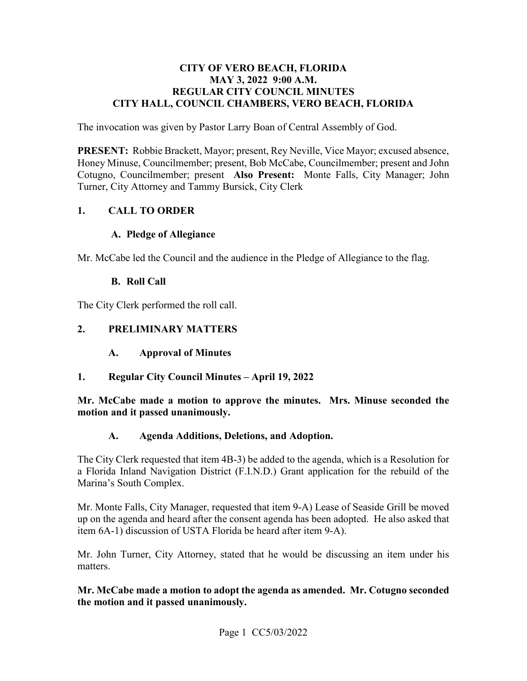#### **CITY OF VERO BEACH, FLORIDA MAY 3, 2022 9:00 A.M. REGULAR CITY COUNCIL MINUTES CITY HALL, COUNCIL CHAMBERS, VERO BEACH, FLORIDA**

The invocation was given by Pastor Larry Boan of Central Assembly of God.

 **PRESENT:** Robbie Brackett, Mayor; present, Rey Neville, Vice Mayor; excused absence, Honey Minuse, Councilmember; present, Bob McCabe, Councilmember; present and John Cotugno, Councilmember; present **Also Present:** Monte Falls, City Manager; John Turner, City Attorney and Tammy Bursick, City Clerk

#### **1. CALL TO ORDER**

#### **A. Pledge of Allegiance**

Mr. McCabe led the Council and the audience in the Pledge of Allegiance to the flag.

#### **B. Roll Call**

The City Clerk performed the roll call.

#### **2. PRELIMINARY MATTERS**

- $\mathbf{A}$ . **A. Approval of Minutes**
- **1. Regular City Council Minutes April 19, 2022**

**Mr. McCabe made a motion to approve the minutes. Mrs. Minuse seconded the motion and it passed unanimously.** 

#### **A. Agenda Additions, Deletions, and Adoption.**

 The City Clerk requested that item 4B-3) be added to the agenda, which is a Resolution for a Florida Inland Navigation District (F.I.N.D.) Grant application for the rebuild of the Marina's South Complex.

Mr. Monte Falls, City Manager, requested that item 9-A) Lease of Seaside Grill be moved up on the agenda and heard after the consent agenda has been adopted. He also asked that item 6A-1) discussion of USTA Florida be heard after item 9-A).

Mr. John Turner, City Attorney, stated that he would be discussing an item under his matters.

**Mr. McCabe made a motion to adopt the agenda as amended. Mr. Cotugno seconded the motion and it passed unanimously.**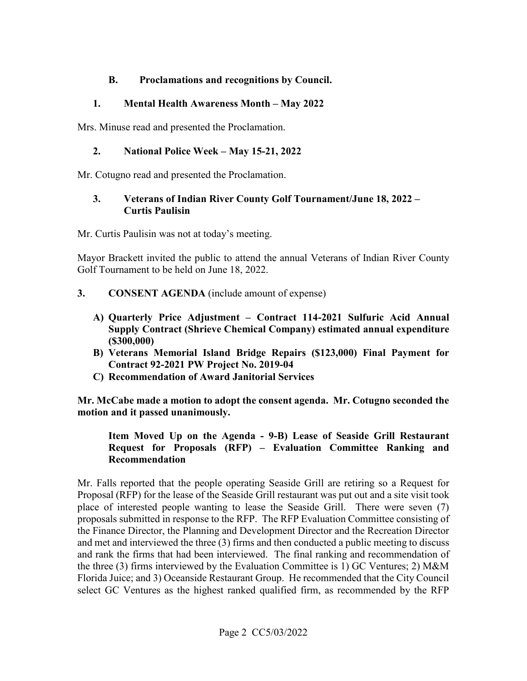#### **B. Proclamations and recognitions by Council.**

#### **1. Mental Health Awareness Month – May 2022**

Mrs. Minuse read and presented the Proclamation.

#### **2. National Police Week – May 15-21, 2022**

Mr. Cotugno read and presented the Proclamation.

#### **3. Veterans of Indian River County Golf Tournament/June 18, 2022 – Curtis Paulisin**

Mr. Curtis Paulisin was not at today's meeting.

Mayor Brackett invited the public to attend the annual Veterans of Indian River County Golf Tournament to be held on June 18, 2022.

- **3. CONSENT AGENDA** (include amount of expense)
	- **A) Quarterly Price Adjustment Contract 114-2021 Sulfuric Acid Annual Supply Contract (Shrieve Chemical Company) estimated annual expenditure (\$300,000)**
	- **B) Veterans Memorial Island Bridge Repairs (\$123,000) Final Payment for Contract 92-2021 PW Project No. 2019-04**
	- **C) Recommendation of Award Janitorial Services**

motion and it passed unanimously. **Mr. McCabe made a motion to adopt the consent agenda. Mr. Cotugno seconded the** 

#### Item Moved Up on the Agenda - 9-B) Lease of Seaside Grill Restaurant **Request for Proposals (RFP) – Evaluation Committee Ranking and Recommendation**

 proposals submitted in response to the RFP. The RFP Evaluation Committee consisting of Florida Juice; and 3) Oceanside Restaurant Group. He recommended that the City Council Mr. Falls reported that the people operating Seaside Grill are retiring so a Request for Proposal (RFP) for the lease of the Seaside Grill restaurant was put out and a site visit took place of interested people wanting to lease the Seaside Grill. There were seven (7) the Finance Director, the Planning and Development Director and the Recreation Director and met and interviewed the three (3) firms and then conducted a public meeting to discuss and rank the firms that had been interviewed. The final ranking and recommendation of the three (3) firms interviewed by the Evaluation Committee is 1) GC Ventures; 2) M&M select GC Ventures as the highest ranked qualified firm, as recommended by the RFP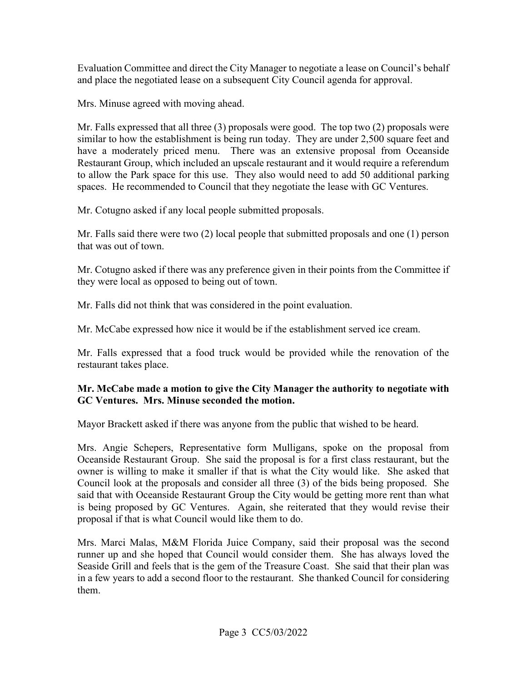and place the negotiated lease on a subsequent City Council agenda for approval. Evaluation Committee and direct the City Manager to negotiate a lease on Council's behalf

Mrs. Minuse agreed with moving ahead.

 have a moderately priced menu. There was an extensive proposal from Oceanside Mr. Falls expressed that all three (3) proposals were good. The top two (2) proposals were similar to how the establishment is being run today. They are under 2,500 square feet and Restaurant Group, which included an upscale restaurant and it would require a referendum to allow the Park space for this use. They also would need to add 50 additional parking spaces. He recommended to Council that they negotiate the lease with GC Ventures.

Mr. Cotugno asked if any local people submitted proposals.

Mr. Falls said there were two (2) local people that submitted proposals and one (1) person that was out of town.

Mr. Cotugno asked if there was any preference given in their points from the Committee if they were local as opposed to being out of town.

Mr. Falls did not think that was considered in the point evaluation.

Mr. McCabe expressed how nice it would be if the establishment served ice cream.

 restaurant takes place. Mr. Falls expressed that a food truck would be provided while the renovation of the

#### **Mr. McCabe made a motion to give the City Manager the authority to negotiate with GC Ventures. Mrs. Minuse seconded the motion.**

Mayor Brackett asked if there was anyone from the public that wished to be heard.

 owner is willing to make it smaller if that is what the City would like. She asked that Council look at the proposals and consider all three (3) of the bids being proposed. She said that with Oceanside Restaurant Group the City would be getting more rent than what proposal if that is what Council would like them to do. Mrs. Angie Schepers, Representative form Mulligans, spoke on the proposal from Oceanside Restaurant Group. She said the proposal is for a first class restaurant, but the is being proposed by GC Ventures. Again, she reiterated that they would revise their

Mrs. Marci Malas, M&M Florida Juice Company, said their proposal was the second runner up and she hoped that Council would consider them. She has always loved the Seaside Grill and feels that is the gem of the Treasure Coast. She said that their plan was in a few years to add a second floor to the restaurant. She thanked Council for considering them.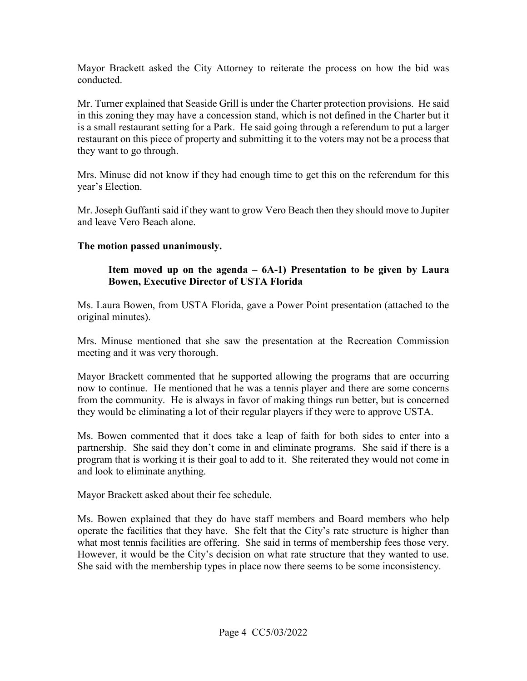Mayor Brackett asked the City Attorney to reiterate the process on how the bid was conducted.

 in this zoning they may have a concession stand, which is not defined in the Charter but it is a small restaurant setting for a Park. He said going through a referendum to put a larger Mr. Turner explained that Seaside Grill is under the Charter protection provisions. He said restaurant on this piece of property and submitting it to the voters may not be a process that they want to go through.

Mrs. Minuse did not know if they had enough time to get this on the referendum for this year's Election.

 Mr. Joseph Guffanti said if they want to grow Vero Beach then they should move to Jupiter and leave Vero Beach alone.

#### The motion passed unanimously.

#### Item moved up on the agenda – 6A-1) Presentation to be given by Laura **Bowen, Executive Director of USTA Florida**

Ms. Laura Bowen, from USTA Florida, gave a Power Point presentation (attached to the original minutes).

meeting and it was very thorough. Mrs. Minuse mentioned that she saw the presentation at the Recreation Commission

Mayor Brackett commented that he supported allowing the programs that are occurring now to continue. He mentioned that he was a tennis player and there are some concerns from the community. He is always in favor of making things run better, but is concerned they would be eliminating a lot of their regular players if they were to approve USTA.

 Ms. Bowen commented that it does take a leap of faith for both sides to enter into a partnership. She said they don't come in and eliminate programs. She said if there is a program that is working it is their goal to add to it. She reiterated they would not come in and look to eliminate anything.

Mayor Brackett asked about their fee schedule.

what most tennis facilities are offering. She said in terms of membership fees those very. Ms. Bowen explained that they do have staff members and Board members who help operate the facilities that they have. She felt that the City's rate structure is higher than what most tennis facilities are offering. She said in terms of membership fees those very.<br>However, it would be the City's decision on what rate structure that they wanted to use.<br>She said with the membership types in plac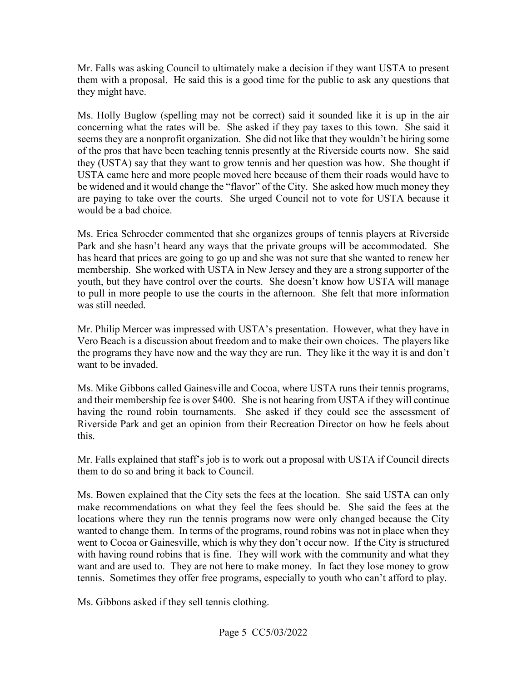Mr. Falls was asking Council to ultimately make a decision if they want USTA to present them with a proposal. He said this is a good time for the public to ask any questions that they might have.

 Ms. Holly Buglow (spelling may not be correct) said it sounded like it is up in the air concerning what the rates will be. She asked if they pay taxes to this town. She said it they (USTA) say that they want to grow tennis and her question was how. She thought if are paying to take over the courts. She urged Council not to vote for USTA because it seems they are a nonprofit organization. She did not like that they wouldn't be hiring some of the pros that have been teaching tennis presently at the Riverside courts now. She said USTA came here and more people moved here because of them their roads would have to be widened and it would change the "flavor" of the City. She asked how much money they would be a bad choice.

 Park and she hasn't heard any ways that the private groups will be accommodated. She has heard that prices are going to go up and she was not sure that she wanted to renew her membership. She worked with USTA in New Jersey and they are a strong supporter of the was still needed. Ms. Erica Schroeder commented that she organizes groups of tennis players at Riverside youth, but they have control over the courts. She doesn't know how USTA will manage to pull in more people to use the courts in the afternoon. She felt that more information

 the programs they have now and the way they are run. They like it the way it is and don't Mr. Philip Mercer was impressed with USTA's presentation. However, what they have in Vero Beach is a discussion about freedom and to make their own choices. The players like want to be invaded.

 and their membership fee is over \$400. She is not hearing from USTA if they will continue this. Ms. Mike Gibbons called Gainesville and Cocoa, where USTA runs their tennis programs, having the round robin tournaments. She asked if they could see the assessment of Riverside Park and get an opinion from their Recreation Director on how he feels about

Mr. Falls explained that staff's job is to work out a proposal with USTA if Council directs them to do so and bring it back to Council.

 make recommendations on what they feel the fees should be. She said the fees at the wanted to change them. In terms of the programs, round robins was not in place when they went to Cocoa or Gainesville, which is why they don't occur now. If the City is structured with having round robins that is fine. They will work with the community and what they Ms. Bowen explained that the City sets the fees at the location. She said USTA can only locations where they run the tennis programs now were only changed because the City want and are used to. They are not here to make money. In fact they lose money to grow tennis. Sometimes they offer free programs, especially to youth who can't afford to play.

Ms. Gibbons asked if they sell tennis clothing.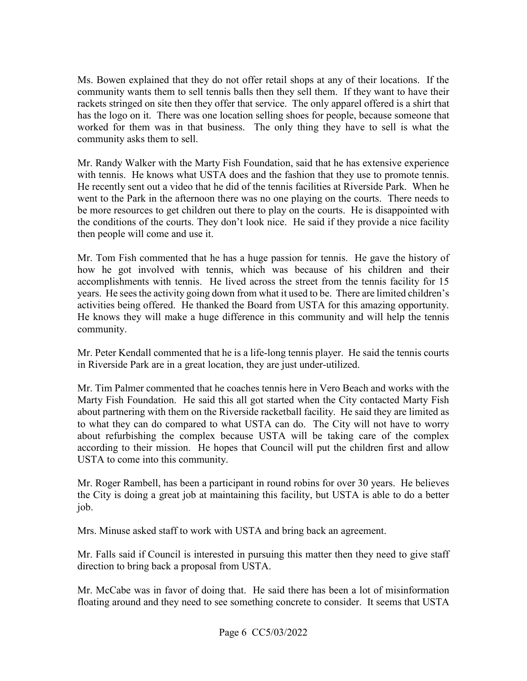community wants them to sell tennis balls then they sell them. If they want to have their community asks them to sell. Ms. Bowen explained that they do not offer retail shops at any of their locations. If the rackets stringed on site then they offer that service. The only apparel offered is a shirt that has the logo on it. There was one location selling shoes for people, because someone that worked for them was in that business. The only thing they have to sell is what the

 with tennis. He knows what USTA does and the fashion that they use to promote tennis. then people will come and use it. Mr. Randy Walker with the Marty Fish Foundation, said that he has extensive experience He recently sent out a video that he did of the tennis facilities at Riverside Park. When he went to the Park in the afternoon there was no one playing on the courts. There needs to be more resources to get children out there to play on the courts. He is disappointed with the conditions of the courts. They don't look nice. He said if they provide a nice facility

 accomplishments with tennis. He lived across the street from the tennis facility for 15 years. He sees the activity going down from what it used to be. There are limited children's activities being offered. He thanked the Board from USTA for this amazing opportunity. activities being offered. He thanked the Board from USTA for this amazing opportunity. He knows they will make a huge difference in this community and will help the tennis Mr. Tom Fish commented that he has a huge passion for tennis. He gave the history of how he got involved with tennis, which was because of his children and their community.

 in Riverside Park are in a great location, they are just under-utilized. Mr. Peter Kendall commented that he is a life-long tennis player. He said the tennis courts

 Mr. Tim Palmer commented that he coaches tennis here in Vero Beach and works with the according to their mission. He hopes that Council will put the children first and allow Marty Fish Foundation. He said this all got started when the City contacted Marty Fish about partnering with them on the Riverside racketball facility. He said they are limited as to what they can do compared to what USTA can do. The City will not have to worry about refurbishing the complex because USTA will be taking care of the complex USTA to come into this community.

 Mr. Roger Rambell, has been a participant in round robins for over 30 years. He believes the City is doing a great job at maintaining this facility, but USTA is able to do a better job.

Mrs. Minuse asked staff to work with USTA and bring back an agreement.

Mr. Falls said if Council is interested in pursuing this matter then they need to give staff direction to bring back a proposal from USTA.

Mr. McCabe was in favor of doing that. He said there has been a lot of misinformation floating around and they need to see something concrete to consider. It seems that USTA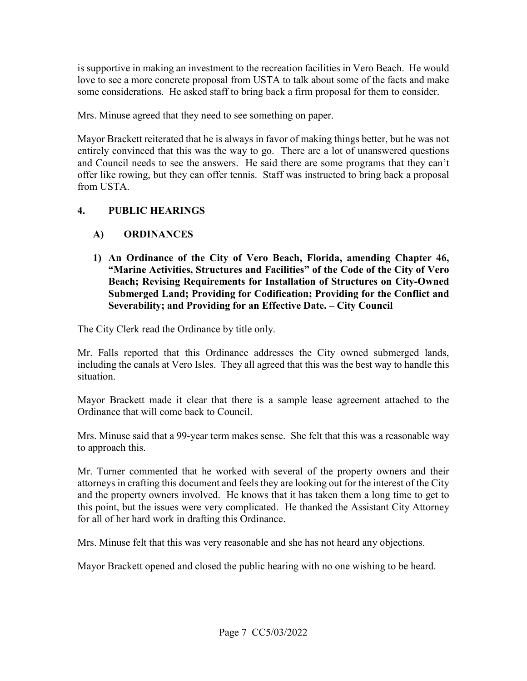is supportive in making an investment to the recreation facilities in Vero Beach. He would love to see a more concrete proposal from USTA to talk about some of the facts and make some considerations. He asked staff to bring back a firm proposal for them to consider.

Mrs. Minuse agreed that they need to see something on paper.

 entirely convinced that this was the way to go. There are a lot of unanswered questions and Council needs to see the answers. He said there are some programs that they can't offer like rowing, but they can offer tennis. Staff was instructed to bring back a proposal from USTA. Mayor Brackett reiterated that he is always in favor of making things better, but he was not

#### **4. PUBLIC HEARINGS**

#### **A) ORDINANCES**

 **"Marine Activities, Structures and Facilities" of the Code of the City of Vero 1) An Ordinance of the City of Vero Beach, Florida, amending Chapter 46, Beach; Revising Requirements for Installation of Structures on City-Owned Submerged Land; Providing for Codification; Providing for the Conflict and Severability; and Providing for an Effective Date. – City Council** 

The City Clerk read the Ordinance by title only.

 including the canals at Vero Isles. They all agreed that this was the best way to handle this Mr. Falls reported that this Ordinance addresses the City owned submerged lands, situation.

 Mayor Brackett made it clear that there is a sample lease agreement attached to the Ordinance that will come back to Council.

Mrs. Minuse said that a 99-year term makes sense. She felt that this was a reasonable way to approach this.

 attorneys in crafting this document and feels they are looking out for the interest of the City this point, but the issues were very complicated. He thanked the Assistant City Attorney Mr. Turner commented that he worked with several of the property owners and their and the property owners involved. He knows that it has taken them a long time to get to for all of her hard work in drafting this Ordinance.

Mrs. Minuse felt that this was very reasonable and she has not heard any objections.

Mayor Brackett opened and closed the public hearing with no one wishing to be heard.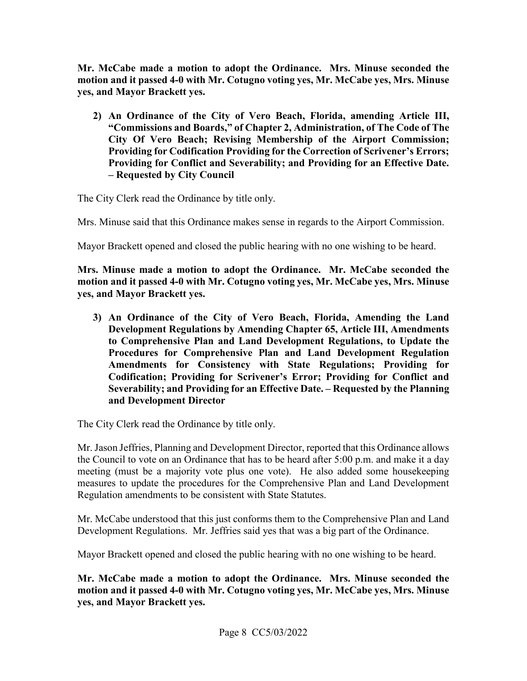**Mr. McCabe made a motion to adopt the Ordinance. Mrs. Minuse seconded the motion and it passed 4-0 with Mr. Cotugno voting yes, Mr. McCabe yes, Mrs. Minuse yes, and Mayor Brackett yes.** 

 **Providing for Codification Providing for the Correction of Scrivener's Errors; 2) An Ordinance of the City of Vero Beach, Florida, amending Article III, "Commissions and Boards," of Chapter 2, Administration, of The Code of The City Of Vero Beach; Revising Membership of the Airport Commission; Providing for Conflict and Severability; and Providing for an Effective Date. – Requested by City Council** 

The City Clerk read the Ordinance by title only.

Mrs. Minuse said that this Ordinance makes sense in regards to the Airport Commission.

Mayor Brackett opened and closed the public hearing with no one wishing to be heard.

**Mrs. Minuse made a motion to adopt the Ordinance. Mr. McCabe seconded the motion and it passed 4-0 with Mr. Cotugno voting yes, Mr. McCabe yes, Mrs. Minuse yes, and Mayor Brackett yes.** 

 **Severability; and Providing for an Effective Date. – Requested by the Planning 3) An Ordinance of the City of Vero Beach, Florida, Amending the Land Development Regulations by Amending Chapter 65, Article III, Amendments to Comprehensive Plan and Land Development Regulations, to Update the Procedures for Comprehensive Plan and Land Development Regulation Amendments for Consistency with State Regulations; Providing for Codification; Providing for Scrivener's Error; Providing for Conflict and and Development Director** 

The City Clerk read the Ordinance by title only.

 the Council to vote on an Ordinance that has to be heard after 5:00 p.m. and make it a day Regulation amendments to be consistent with State Statutes. Mr. Jason Jeffries, Planning and Development Director, reported that this Ordinance allows meeting (must be a majority vote plus one vote). He also added some housekeeping measures to update the procedures for the Comprehensive Plan and Land Development

Mr. McCabe understood that this just conforms them to the Comprehensive Plan and Land Development Regulations. Mr. Jeffries said yes that was a big part of the Ordinance.

Mayor Brackett opened and closed the public hearing with no one wishing to be heard.

**Mr. McCabe made a motion to adopt the Ordinance. Mrs. Minuse seconded the motion and it passed 4-0 with Mr. Cotugno voting yes, Mr. McCabe yes, Mrs. Minuse yes, and Mayor Brackett yes.**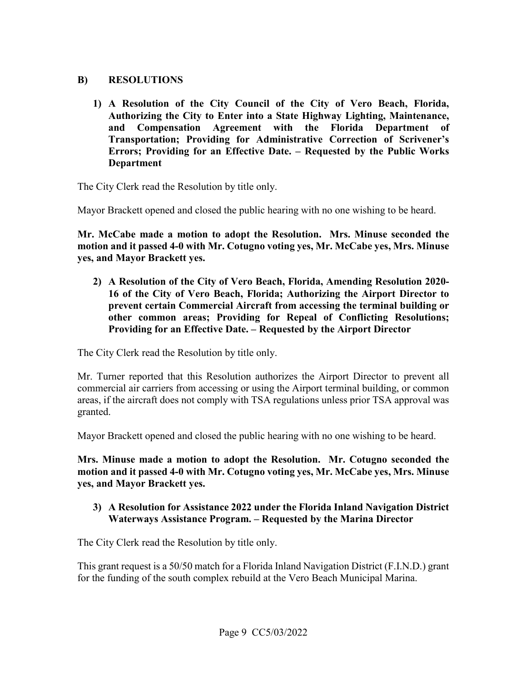#### **B) RESOLUTIONS**

**1) A Resolution of the City Council of the City of Vero Beach, Florida, Authorizing the City to Enter into a State Highway Lighting, Maintenance, and Compensation Agreement with the Florida Department of Transportation; Providing for Administrative Correction of Scrivener's Errors; Providing for an Effective Date. – Requested by the Public Works Department** 

The City Clerk read the Resolution by title only.

Mayor Brackett opened and closed the public hearing with no one wishing to be heard.

**Mr. McCabe made a motion to adopt the Resolution. Mrs. Minuse seconded the motion and it passed 4-0 with Mr. Cotugno voting yes, Mr. McCabe yes, Mrs. Minuse yes, and Mayor Brackett yes.** 

**2) A Resolution of the City of Vero Beach, Florida, Amending Resolution 2020- 16 of the City of Vero Beach, Florida; Authorizing the Airport Director to prevent certain Commercial Aircraft from accessing the terminal building or other common areas; Providing for Repeal of Conflicting Resolutions; Providing for an Effective Date. – Requested by the Airport Director** 

The City Clerk read the Resolution by title only.

 commercial air carriers from accessing or using the Airport terminal building, or common Mr. Turner reported that this Resolution authorizes the Airport Director to prevent all areas, if the aircraft does not comply with TSA regulations unless prior TSA approval was granted.

Mayor Brackett opened and closed the public hearing with no one wishing to be heard.

**Mrs. Minuse made a motion to adopt the Resolution. Mr. Cotugno seconded the motion and it passed 4-0 with Mr. Cotugno voting yes, Mr. McCabe yes, Mrs. Minuse yes, and Mayor Brackett yes.** 

#### **Waterways Assistance Program. – Requested by the Marina Director 3) A Resolution for Assistance 2022 under the Florida Inland Navigation District**

The City Clerk read the Resolution by title only.

 This grant request is a 50/50 match for a Florida Inland Navigation District (F.I.N.D.) grant for the funding of the south complex rebuild at the Vero Beach Municipal Marina.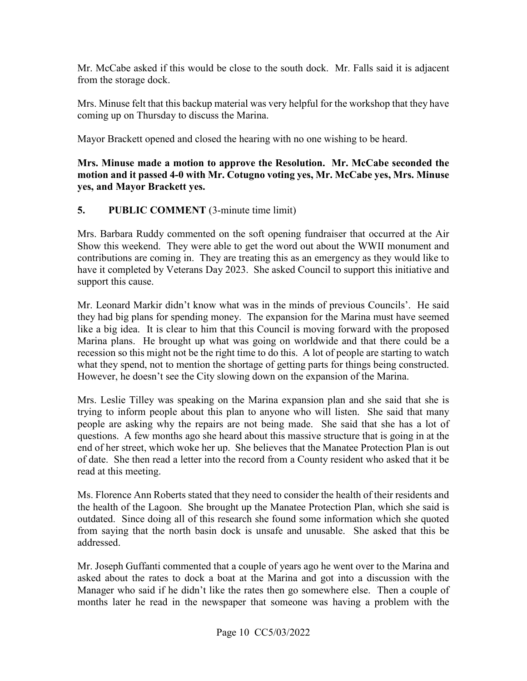from the storage dock. Mr. McCabe asked if this would be close to the south dock. Mr. Falls said it is adjacent

Mrs. Minuse felt that this backup material was very helpful for the workshop that they have coming up on Thursday to discuss the Marina.

Mayor Brackett opened and closed the hearing with no one wishing to be heard.

#### **Mrs. Minuse made a motion to approve the Resolution. Mr. McCabe seconded the motion and it passed 4-0 with Mr. Cotugno voting yes, Mr. McCabe yes, Mrs. Minuse yes, and Mayor Brackett yes.**

#### **5. PUBLIC COMMENT** (3-minute time limit)

 contributions are coming in. They are treating this as an emergency as they would like to have it completed by Veterans Day 2023. She asked Council to support this initiative and Mrs. Barbara Ruddy commented on the soft opening fundraiser that occurred at the Air Show this weekend. They were able to get the word out about the WWII monument and support this cause.

 Mr. Leonard Markir didn't know what was in the minds of previous Councils'. He said like a big idea. It is clear to him that this Council is moving forward with the proposed what they spend, not to mention the shortage of getting parts for things being constructed. they had big plans for spending money. The expansion for the Marina must have seemed Marina plans. He brought up what was going on worldwide and that there could be a recession so this might not be the right time to do this. A lot of people are starting to watch However, he doesn't see the City slowing down on the expansion of the Marina.

 Mrs. Leslie Tilley was speaking on the Marina expansion plan and she said that she is trying to inform people about this plan to anyone who will listen. She said that many questions. A few months ago she heard about this massive structure that is going in at the end of her street, which woke her up. She believes that the Manatee Protection Plan is out people are asking why the repairs are not being made. She said that she has a lot of of date. She then read a letter into the record from a County resident who asked that it be read at this meeting.

Ms. Florence Ann Roberts stated that they need to consider the health of their residents and the health of the Lagoon. She brought up the Manatee Protection Plan, which she said is outdated. Since doing all of this research she found some information which she quoted from saying that the north basin dock is unsafe and unusable. She asked that this be addressed.

 Mr. Joseph Guffanti commented that a couple of years ago he went over to the Marina and asked about the rates to dock a boat at the Marina and got into a discussion with the Manager who said if he didn't like the rates then go somewhere else. Then a couple of months later he read in the newspaper that someone was having a problem with the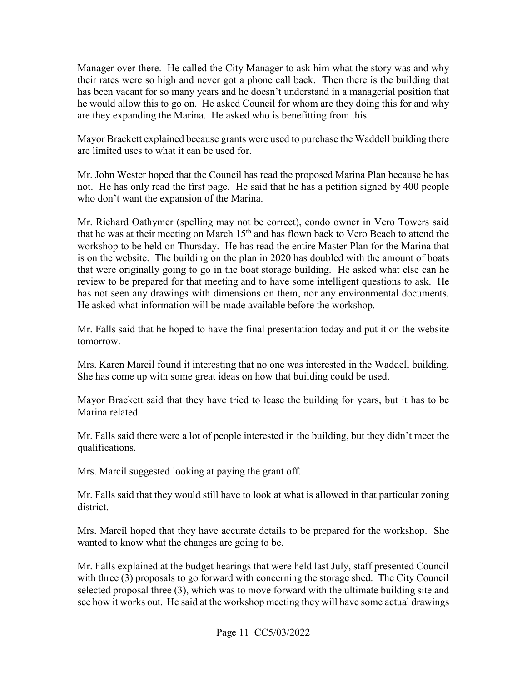Manager over there. He called the City Manager to ask him what the story was and why their rates were so high and never got a phone call back. Then there is the building that has been vacant for so many years and he doesn't understand in a managerial position that he would allow this to go on. He asked Council for whom are they doing this for and why are they expanding the Marina. He asked who is benefitting from this.

Mayor Brackett explained because grants were used to purchase the Waddell building there are limited uses to what it can be used for.

 not. He has only read the first page. He said that he has a petition signed by 400 people who don't want the expansion of the Marina. Mr. John Wester hoped that the Council has read the proposed Marina Plan because he has

 Mr. Richard Oathymer (spelling may not be correct), condo owner in Vero Towers said that were originally going to go in the boat storage building. He asked what else can he review to be prepared for that meeting and to have some intelligent questions to ask. He has not seen any drawings with dimensions on them, nor any environmental documents. that he was at their meeting on March  $15<sup>th</sup>$  and has flown back to Vero Beach to attend the workshop to be held on Thursday. He has read the entire Master Plan for the Marina that is on the website. The building on the plan in 2020 has doubled with the amount of boats He asked what information will be made available before the workshop.

Mr. Falls said that he hoped to have the final presentation today and put it on the website tomorrow.

 Mrs. Karen Marcil found it interesting that no one was interested in the Waddell building. She has come up with some great ideas on how that building could be used.

Mayor Brackett said that they have tried to lease the building for years, but it has to be Marina related.

Mr. Falls said there were a lot of people interested in the building, but they didn't meet the qualifications.

Mrs. Marcil suggested looking at paying the grant off.

district. Mr. Falls said that they would still have to look at what is allowed in that particular zoning

Mrs. Marcil hoped that they have accurate details to be prepared for the workshop. She wanted to know what the changes are going to be.

 selected proposal three (3), which was to move forward with the ultimate building site and see how it works out. He said at the workshop meeting they will have some actual drawings Mr. Falls explained at the budget hearings that were held last July, staff presented Council with three (3) proposals to go forward with concerning the storage shed. The City Council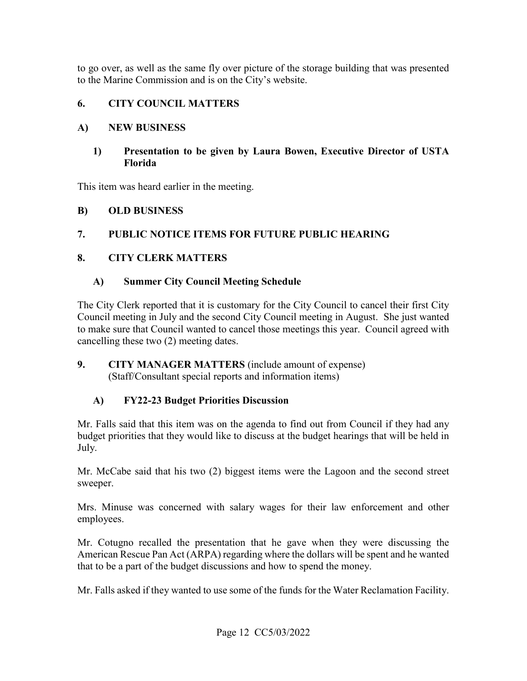to go over, as well as the same fly over picture of the storage building that was presented to the Marine Commission and is on the City's website.

#### **6. CITY COUNCIL MATTERS**

#### **A) NEW BUSINESS**

#### **1) Presentation to be given by Laura Bowen, Executive Director of USTA Florida**

This item was heard earlier in the meeting.

#### **B) OLD BUSINESS**

# **7. PUBLIC NOTICE ITEMS FOR FUTURE PUBLIC HEARING 8. CITY CLERK MATTERS**

#### **A) Summer City Council Meeting Schedule**

 The City Clerk reported that it is customary for the City Council to cancel their first City to make sure that Council wanted to cancel those meetings this year. Council agreed with Council meeting in July and the second City Council meeting in August. She just wanted cancelling these two (2) meeting dates.

#### (Staff/Consultant special reports and information items) **9. CITY MANAGER MATTERS** (include amount of expense)

#### **A) FY22-23 Budget Priorities Discussion**

Mr. Falls said that this item was on the agenda to find out from Council if they had any budget priorities that they would like to discuss at the budget hearings that will be held in July.

 Mr. McCabe said that his two (2) biggest items were the Lagoon and the second street sweeper.

 Mrs. Minuse was concerned with salary wages for their law enforcement and other employees.

 that to be a part of the budget discussions and how to spend the money. Mr. Cotugno recalled the presentation that he gave when they were discussing the American Rescue Pan Act (ARPA) regarding where the dollars will be spent and he wanted

Mr. Falls asked if they wanted to use some of the funds for the Water Reclamation Facility.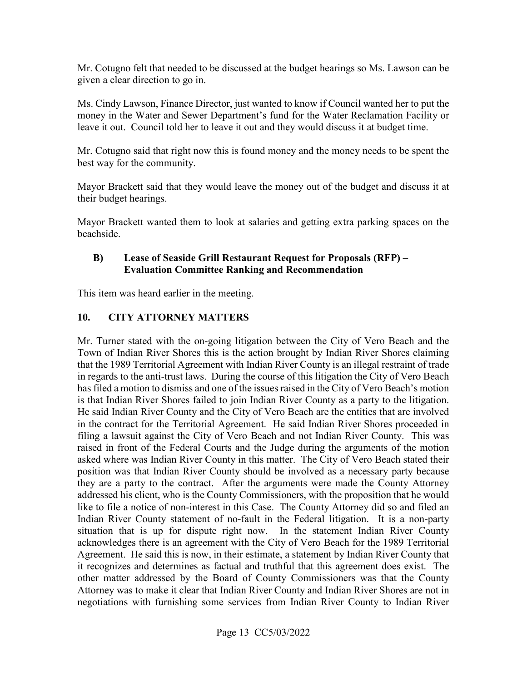Mr. Cotugno felt that needed to be discussed at the budget hearings so Ms. Lawson can be given a clear direction to go in.

leave it out. Council told her to leave it out and they would discuss it at budget time. Ms. Cindy Lawson, Finance Director, just wanted to know if Council wanted her to put the money in the Water and Sewer Department's fund for the Water Reclamation Facility or

Mr. Cotugno said that right now this is found money and the money needs to be spent the best way for the community.

Mayor Brackett said that they would leave the money out of the budget and discuss it at their budget hearings.

 Mayor Brackett wanted them to look at salaries and getting extra parking spaces on the beachside.

#### **B) Lease of Seaside Grill Restaurant Request for Proposals (RFP) – Evaluation Committee Ranking and Recommendation**

This item was heard earlier in the meeting.

#### $10.$ **10. CITY ATTORNEY MATTERS**

 in regards to the anti-trust laws. During the course of this litigation the City of Vero Beach asked where was Indian River County in this matter. The City of Vero Beach stated their they are a party to the contract. After the arguments were made the County Attorney addressed his client, who is the County Commissioners, with the proposition that he would Indian River County statement of no-fault in the Federal litigation. It is a non-party situation that is up for dispute right now. In the statement Indian River County negotiations with furnishing some services from Indian River County to Indian River Mr. Turner stated with the on-going litigation between the City of Vero Beach and the Town of Indian River Shores this is the action brought by Indian River Shores claiming that the 1989 Territorial Agreement with Indian River County is an illegal restraint of trade has filed a motion to dismiss and one of the issues raised in the City of Vero Beach's motion is that Indian River Shores failed to join Indian River County as a party to the litigation. He said Indian River County and the City of Vero Beach are the entities that are involved in the contract for the Territorial Agreement. He said Indian River Shores proceeded in filing a lawsuit against the City of Vero Beach and not Indian River County. This was raised in front of the Federal Courts and the Judge during the arguments of the motion position was that Indian River County should be involved as a necessary party because like to file a notice of non-interest in this Case. The County Attorney did so and filed an acknowledges there is an agreement with the City of Vero Beach for the 1989 Territorial Agreement. He said this is now, in their estimate, a statement by Indian River County that it recognizes and determines as factual and truthful that this agreement does exist. The other matter addressed by the Board of County Commissioners was that the County Attorney was to make it clear that Indian River County and Indian River Shores are not in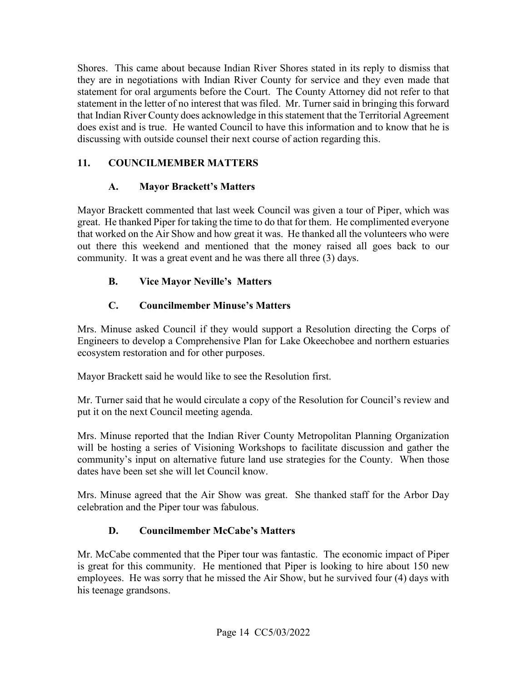statement in the letter of no interest that was filed. Mr. Turner said in bringing this forward does exist and is true. He wanted Council to have this information and to know that he is  discussing with outside counsel their next course of action regarding this. Shores. This came about because Indian River Shores stated in its reply to dismiss that they are in negotiations with Indian River County for service and they even made that statement for oral arguments before the Court. The County Attorney did not refer to that that Indian River County does acknowledge in this statement that the Territorial Agreement

#### **11. COUNCILMEMBER MATTERS**

#### **A. Mayor Brackett's Matters**

 Mayor Brackett commented that last week Council was given a tour of Piper, which was great. He thanked Piper for taking the time to do that for them. He complimented everyone that worked on the Air Show and how great it was. He thanked all the volunteers who were out there this weekend and mentioned that the money raised all goes back to our community. It was a great event and he was there all three (3) days.

### **B. Vice Mayor Neville's Matters**

# **C. Councilmember Minuse's Matters**

Mrs. Minuse asked Council if they would support a Resolution directing the Corps of Engineers to develop a Comprehensive Plan for Lake Okeechobee and northern estuaries ecosystem restoration and for other purposes.

Mayor Brackett said he would like to see the Resolution first.

 Mr. Turner said that he would circulate a copy of the Resolution for Council's review and put it on the next Council meeting agenda.

 community's input on alternative future land use strategies for the County. When those Mrs. Minuse reported that the Indian River County Metropolitan Planning Organization will be hosting a series of Visioning Workshops to facilitate discussion and gather the dates have been set she will let Council know.

 Mrs. Minuse agreed that the Air Show was great. She thanked staff for the Arbor Day celebration and the Piper tour was fabulous.

# **D. Councilmember McCabe's Matters**

 Mr. McCabe commented that the Piper tour was fantastic. The economic impact of Piper is great for this community. He mentioned that Piper is looking to hire about 150 new employees. He was sorry that he missed the Air Show, but he survived four (4) days with his teenage grandsons.